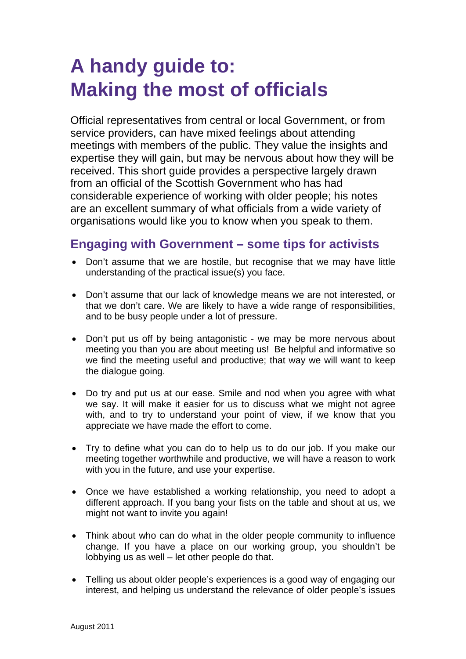## **A handy guide to: Making the most of officials**

Official representatives from central or local Government, or from service providers, can have mixed feelings about attending meetings with members of the public. They value the insights and expertise they will gain, but may be nervous about how they will be received. This short guide provides a perspective largely drawn from an official of the Scottish Government who has had considerable experience of working with older people; his notes are an excellent summary of what officials from a wide variety of organisations would like you to know when you speak to them.

## **Engaging with Government – some tips for activists**

- Don't assume that we are hostile, but recognise that we may have little understanding of the practical issue(s) you face.
- Don't assume that our lack of knowledge means we are not interested, or that we don't care. We are likely to have a wide range of responsibilities, and to be busy people under a lot of pressure.
- Don't put us off by being antagonistic we may be more nervous about meeting you than you are about meeting us! Be helpful and informative so we find the meeting useful and productive; that way we will want to keep the dialogue going.
- Do try and put us at our ease. Smile and nod when you agree with what we say. It will make it easier for us to discuss what we might not agree with, and to try to understand your point of view, if we know that you appreciate we have made the effort to come.
- Try to define what you can do to help us to do our job. If you make our meeting together worthwhile and productive, we will have a reason to work with you in the future, and use your expertise.
- Once we have established a working relationship, you need to adopt a different approach. If you bang your fists on the table and shout at us, we might not want to invite you again!
- Think about who can do what in the older people community to influence change. If you have a place on our working group, you shouldn't be lobbying us as well – let other people do that.
- Telling us about older people's experiences is a good way of engaging our interest, and helping us understand the relevance of older people's issues